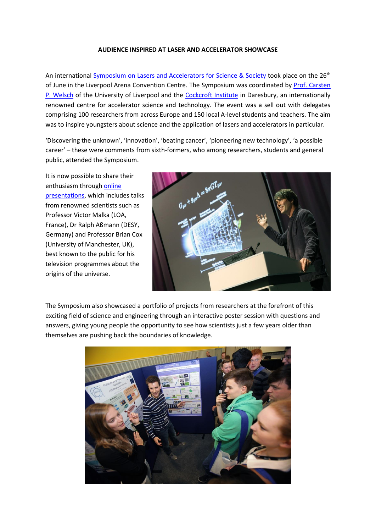## **AUDIENCE INSPIRED AT LASER AND ACCELERATOR SHOWCASE**

An international Symposium [on Lasers and Accelerators for Science & Society](https://indico.cern.ch/event/368273/) took place on the 26<sup>th</sup> of June in the Liverpool Arena Convention Centre. The Symposium was coordinated by [Prof. Carsten](http://www.liv.ac.uk/quasar/the-quasars/carsten_welsch/)  [P. Welsch](http://www.liv.ac.uk/quasar/the-quasars/carsten_welsch/) of the University of Liverpool and the [Cockcroft Institute](http://www.cockcroft.ac.uk/) in Daresbury, an internationally renowned centre for accelerator science and technology. The event was a sell out with delegates comprising 100 researchers from across Europe and 150 local A-level students and teachers. The aim was to inspire youngsters about science and the application of lasers and accelerators in particular.

'Discovering the unknown', 'innovation', 'beating cancer', 'pioneering new technology', 'a possible career' – these were comments from sixth-formers, who among researchers, students and general public, attended the Symposium.

It is now possible to share their enthusiasm throug[h online](http://www.liv.ac.uk/quasar/symposium/)  [presentations,](http://www.liv.ac.uk/quasar/symposium/) which includes talks from renowned scientists such as Professor Victor Malka (LOA, France), Dr Ralph Aßmann (DESY, Germany) and Professor Brian Cox (University of Manchester, UK), best known to the public for his television programmes about the origins of the universe.



The Symposium also showcased a portfolio of projects from researchers at the forefront of this exciting field of science and engineering through an interactive poster session with questions and answers, giving young people the opportunity to see how scientists just a few years older than themselves are pushing back the boundaries of knowledge.

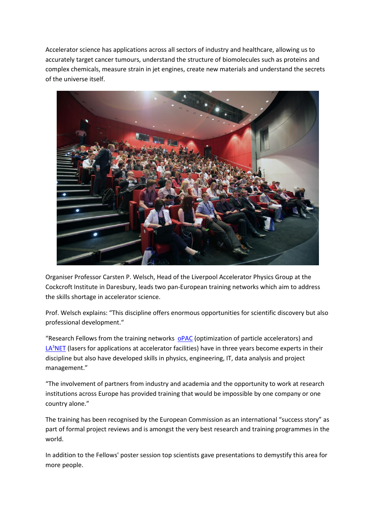Accelerator science has applications across all sectors of industry and healthcare, allowing us to accurately target cancer tumours, understand the structure of biomolecules such as proteins and complex chemicals, measure strain in jet engines, create new materials and understand the secrets of the universe itself.



Organiser Professor Carsten P. Welsch, Head of the Liverpool Accelerator Physics Group at the Cockcroft Institute in Daresbury, leads two pan-European training networks which aim to address the skills shortage in accelerator science.

Prof. Welsch explains: "This discipline offers enormous opportunities for scientific discovery but also professional development."

"Research Fellows from the training networks [oPAC](http://www.opac-project.eu/) (optimization of particle accelerators) and LA<sup>3</sup>[NET](http://www.la3net.eu/) (lasers for applications at accelerator facilities) have in three years become experts in their discipline but also have developed skills in physics, engineering, IT, data analysis and project management."

"The involvement of partners from industry and academia and the opportunity to work at research institutions across Europe has provided training that would be impossible by one company or one country alone."

The training has been recognised by the European Commission as an international "success story" as part of formal project reviews and is amongst the very best research and training programmes in the world.

In addition to the Fellows' poster session top scientists gave presentations to demystify this area for more people.